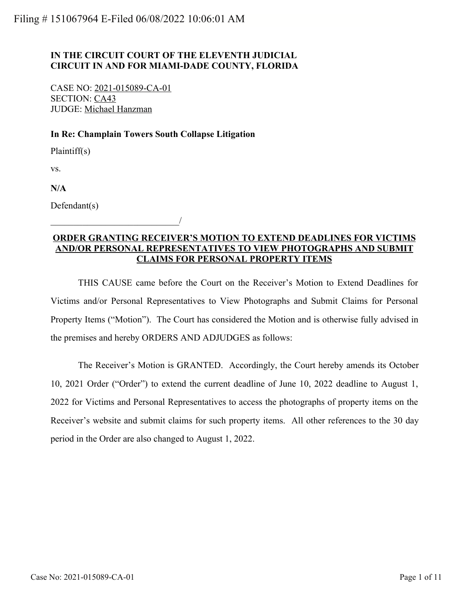## **IN THE CIRCUIT COURT OF THE ELEVENTH JUDICIAL CIRCUIT IN AND FOR MIAMI-DADE COUNTY, FLORIDA**

CASE NO: 2021-015089-CA-01 SECTION: CA43 JUDGE: Michael Hanzman

\_\_\_\_\_\_\_\_\_\_\_\_\_\_\_\_\_\_\_\_\_\_\_\_\_\_\_\_/

## **In Re: Champlain Towers South Collapse Litigation**

Plaintiff(s)

vs.

**N/A**

Defendant(s)

## **ORDER GRANTING RECEIVER'S MOTION TO EXTEND DEADLINES FOR VICTIMS AND/OR PERSONAL REPRESENTATIVES TO VIEW PHOTOGRAPHS AND SUBMIT CLAIMS FOR PERSONAL PROPERTY ITEMS**

THIS CAUSE came before the Court on the Receiver's Motion to Extend Deadlines for Victims and/or Personal Representatives to View Photographs and Submit Claims for Personal Property Items ("Motion"). The Court has considered the Motion and is otherwise fully advised in the premises and hereby ORDERS AND ADJUDGES as follows:

The Receiver's Motion is GRANTED. Accordingly, the Court hereby amends its October 10, 2021 Order ("Order") to extend the current deadline of June 10, 2022 deadline to August 1, 2022 for Victims and Personal Representatives to access the photographs of property items on the Receiver's website and submit claims for such property items. All other references to the 30 day period in the Order are also changed to August 1, 2022.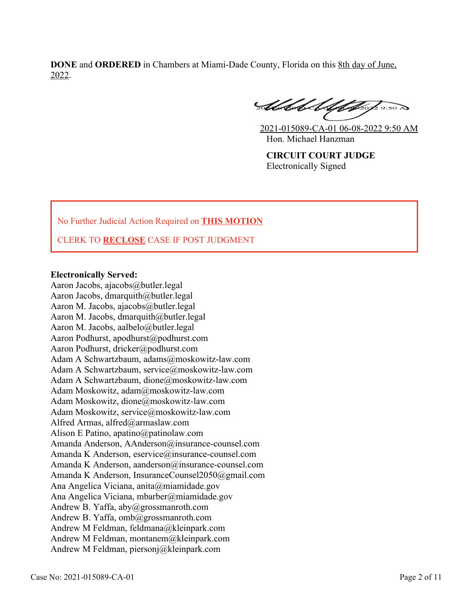**DONE** and **ORDERED** in Chambers at Miami-Dade County, Florida on this 8th day of June, 2022.

SUMMA

2021-015089-CA-01 06-08-2022 9:50 AM Hon. Michael Hanzman

**CIRCUIT COURT JUDGE** Electronically Signed

No Further Judicial Action Required on **THIS MOTION**

CLERK TO **RECLOSE** CASE IF POST JUDGMENT

## **Electronically Served:**

Aaron Jacobs, ajacobs@butler.legal Aaron Jacobs, dmarquith@butler.legal Aaron M. Jacobs, ajacobs@butler.legal Aaron M. Jacobs, dmarquith@butler.legal Aaron M. Jacobs, aalbelo@butler.legal Aaron Podhurst, apodhurst@podhurst.com Aaron Podhurst, dricker@podhurst.com Adam A Schwartzbaum, adams@moskowitz-law.com Adam A Schwartzbaum, service@moskowitz-law.com Adam A Schwartzbaum, dione@moskowitz-law.com Adam Moskowitz, adam@moskowitz-law.com Adam Moskowitz, dione@moskowitz-law.com Adam Moskowitz, service@moskowitz-law.com Alfred Armas, alfred@armaslaw.com Alison E Patino, apatino@patinolaw.com Amanda Anderson, AAnderson@insurance-counsel.com Amanda K Anderson, eservice@insurance-counsel.com Amanda K Anderson, aanderson@insurance-counsel.com Amanda K Anderson, InsuranceCounsel2050@gmail.com Ana Angelica Viciana, anita@miamidade.gov Ana Angelica Viciana, mbarber@miamidade.gov Andrew B. Yaffa, aby@grossmanroth.com Andrew B. Yaffa, omb@grossmanroth.com Andrew M Feldman, feldmana@kleinpark.com Andrew M Feldman, montanem@kleinpark.com Andrew M Feldman, piersonj@kleinpark.com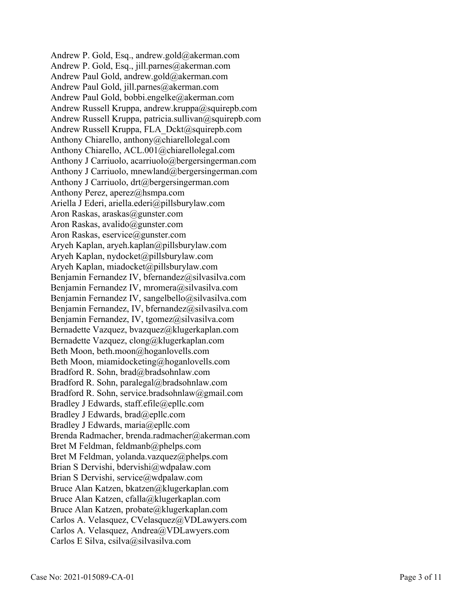Andrew P. Gold, Esq., andrew.gold@akerman.com Andrew P. Gold, Esq., jill.parnes@akerman.com Andrew Paul Gold, andrew.gold@akerman.com Andrew Paul Gold, jill.parnes@akerman.com Andrew Paul Gold, bobbi.engelke@akerman.com Andrew Russell Kruppa, andrew.kruppa@squirepb.com Andrew Russell Kruppa, patricia.sullivan@squirepb.com Andrew Russell Kruppa, FLA\_Dckt@squirepb.com Anthony Chiarello, anthony@chiarellolegal.com Anthony Chiarello, ACL.001@chiarellolegal.com Anthony J Carriuolo, acarriuolo@bergersingerman.com Anthony J Carriuolo, mnewland@bergersingerman.com Anthony J Carriuolo, drt@bergersingerman.com Anthony Perez, aperez@hsmpa.com Ariella J Ederi, ariella.ederi@pillsburylaw.com Aron Raskas, araskas@gunster.com Aron Raskas, avalido@gunster.com Aron Raskas, eservice@gunster.com Aryeh Kaplan, aryeh.kaplan@pillsburylaw.com Aryeh Kaplan, nydocket@pillsburylaw.com Aryeh Kaplan, miadocket@pillsburylaw.com Benjamin Fernandez IV, bfernandez@silvasilva.com Benjamin Fernandez IV, mromera@silvasilva.com Benjamin Fernandez IV, sangelbello@silvasilva.com Benjamin Fernandez, IV, bfernandez@silvasilva.com Benjamin Fernandez, IV, tgomez@silvasilva.com Bernadette Vazquez, bvazquez@klugerkaplan.com Bernadette Vazquez, clong@klugerkaplan.com Beth Moon, beth.moon@hoganlovells.com Beth Moon, miamidocketing@hoganlovells.com Bradford R. Sohn, brad@bradsohnlaw.com Bradford R. Sohn, paralegal@bradsohnlaw.com Bradford R. Sohn, service.bradsohnlaw@gmail.com Bradley J Edwards, staff.efile@epllc.com Bradley J Edwards, brad@epllc.com Bradley J Edwards, maria@epllc.com Brenda Radmacher, brenda.radmacher@akerman.com Bret M Feldman, feldmanb@phelps.com Bret M Feldman, yolanda.vazquez@phelps.com Brian S Dervishi, bdervishi@wdpalaw.com Brian S Dervishi, service@wdpalaw.com Bruce Alan Katzen, bkatzen@klugerkaplan.com Bruce Alan Katzen, cfalla@klugerkaplan.com Bruce Alan Katzen, probate@klugerkaplan.com Carlos A. Velasquez, CVelasquez@VDLawyers.com Carlos A. Velasquez, Andrea@VDLawyers.com Carlos E Silva, csilva@silvasilva.com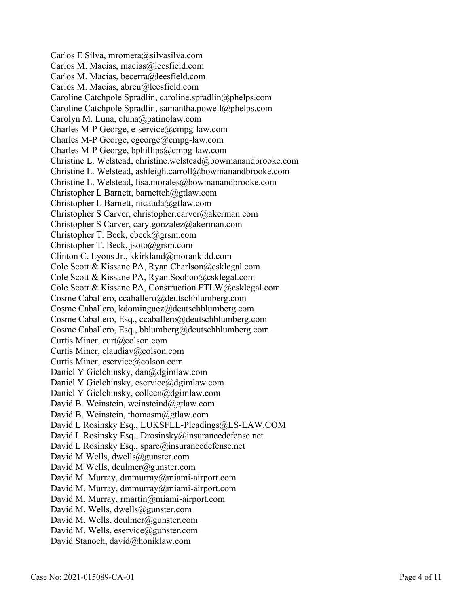Carlos E Silva, mromera@silvasilva.com Carlos M. Macias, macias@leesfield.com Carlos M. Macias, becerra@leesfield.com Carlos M. Macias, abreu@leesfield.com Caroline Catchpole Spradlin, caroline.spradlin@phelps.com Caroline Catchpole Spradlin, samantha.powell@phelps.com Carolyn M. Luna, cluna@patinolaw.com Charles M-P George, e-service@cmpg-law.com Charles M-P George, cgeorge@cmpg-law.com Charles M-P George, bphillips@cmpg-law.com Christine L. Welstead, christine.welstead@bowmanandbrooke.com Christine L. Welstead, ashleigh.carroll@bowmanandbrooke.com Christine L. Welstead, lisa.morales@bowmanandbrooke.com Christopher L Barnett, barnettch@gtlaw.com Christopher L Barnett, nicauda@gtlaw.com Christopher S Carver, christopher.carver@akerman.com Christopher S Carver, cary.gonzalez@akerman.com Christopher T. Beck, cbeck@grsm.com Christopher T. Beck, jsoto@grsm.com Clinton C. Lyons Jr., kkirkland@morankidd.com Cole Scott & Kissane PA, Ryan.Charlson@csklegal.com Cole Scott & Kissane PA, Ryan.Soohoo@csklegal.com Cole Scott & Kissane PA, Construction.FTLW@csklegal.com Cosme Caballero, ccaballero@deutschblumberg.com Cosme Caballero, kdominguez@deutschblumberg.com Cosme Caballero, Esq., ccaballero@deutschblumberg.com Cosme Caballero, Esq., bblumberg@deutschblumberg.com Curtis Miner, curt@colson.com Curtis Miner, claudiav@colson.com Curtis Miner, eservice@colson.com Daniel Y Gielchinsky, dan@dgimlaw.com Daniel Y Gielchinsky, eservice@dgimlaw.com Daniel Y Gielchinsky, colleen@dgimlaw.com David B. Weinstein, weinsteind@gtlaw.com David B. Weinstein, thomasm@gtlaw.com David L Rosinsky Esq., LUKSFLL-Pleadings@LS-LAW.COM David L Rosinsky Esq., Drosinsky@insurancedefense.net David L Rosinsky Esq., spare@insurancedefense.net David M Wells, dwells@gunster.com David M Wells, dculmer@gunster.com David M. Murray, dmmurray@miami-airport.com David M. Murray, dmmurray@miami-airport.com David M. Murray, rmartin@miami-airport.com David M. Wells, dwells@gunster.com David M. Wells, dculmer@gunster.com David M. Wells, eservice@gunster.com David Stanoch, david@honiklaw.com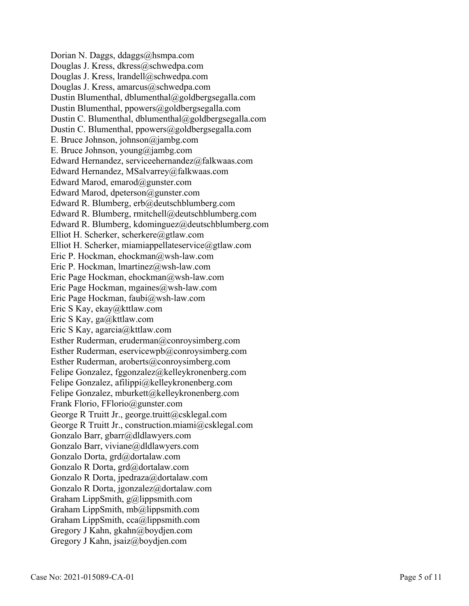Dorian N. Daggs, ddaggs@hsmpa.com Douglas J. Kress, dkress@schwedpa.com Douglas J. Kress, lrandell@schwedpa.com Douglas J. Kress, amarcus@schwedpa.com Dustin Blumenthal, dblumenthal@goldbergsegalla.com Dustin Blumenthal, ppowers@goldbergsegalla.com Dustin C. Blumenthal, dblumenthal@goldbergsegalla.com Dustin C. Blumenthal, ppowers@goldbergsegalla.com E. Bruce Johnson, johnson@jambg.com E. Bruce Johnson, young@jambg.com Edward Hernandez, serviceehernandez@falkwaas.com Edward Hernandez, MSalvarrey@falkwaas.com Edward Marod, emarod@gunster.com Edward Marod, dpeterson@gunster.com Edward R. Blumberg, erb@deutschblumberg.com Edward R. Blumberg, rmitchell@deutschblumberg.com Edward R. Blumberg, kdominguez@deutschblumberg.com Elliot H. Scherker, scherkere@gtlaw.com Elliot H. Scherker, miamiappellateservice@gtlaw.com Eric P. Hockman, ehockman@wsh-law.com Eric P. Hockman, lmartinez@wsh-law.com Eric Page Hockman, ehockman@wsh-law.com Eric Page Hockman, mgaines@wsh-law.com Eric Page Hockman, faubi@wsh-law.com Eric S Kay, ekay@kttlaw.com Eric S Kay, ga@kttlaw.com Eric S Kay, agarcia@kttlaw.com Esther Ruderman, eruderman@conroysimberg.com Esther Ruderman, eservicewpb@conroysimberg.com Esther Ruderman, aroberts@conroysimberg.com Felipe Gonzalez, fggonzalez@kelleykronenberg.com Felipe Gonzalez, afilippi@kelleykronenberg.com Felipe Gonzalez, mburkett@kelleykronenberg.com Frank Florio, FFlorio@gunster.com George R Truitt Jr., george.truitt@csklegal.com George R Truitt Jr., construction.miami@csklegal.com Gonzalo Barr, gbarr@dldlawyers.com Gonzalo Barr, viviane@dldlawyers.com Gonzalo Dorta, grd@dortalaw.com Gonzalo R Dorta, grd@dortalaw.com Gonzalo R Dorta, jpedraza@dortalaw.com Gonzalo R Dorta, jgonzalez@dortalaw.com Graham LippSmith, g@lippsmith.com Graham LippSmith, mb@lippsmith.com Graham LippSmith, cca@lippsmith.com Gregory J Kahn, gkahn@boydjen.com Gregory J Kahn, jsaiz@boydjen.com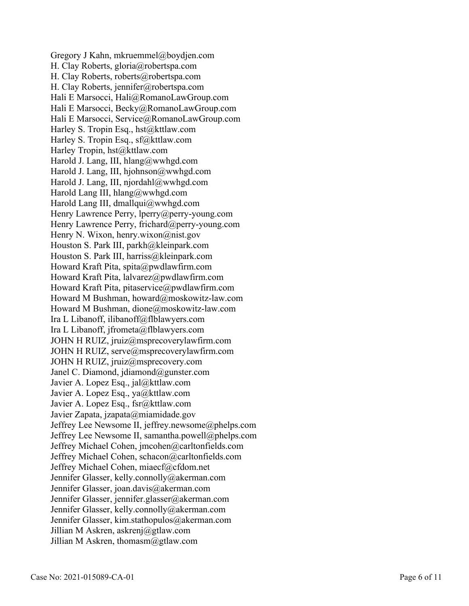Gregory J Kahn, mkruemmel@boydjen.com H. Clay Roberts, gloria@robertspa.com H. Clay Roberts, roberts@robertspa.com H. Clay Roberts, jennifer@robertspa.com Hali E Marsocci, Hali@RomanoLawGroup.com Hali E Marsocci, Becky@RomanoLawGroup.com Hali E Marsocci, Service@RomanoLawGroup.com Harley S. Tropin Esq., hst@kttlaw.com Harley S. Tropin Esq., sf@kttlaw.com Harley Tropin, hst@kttlaw.com Harold J. Lang, III, hlang@wwhgd.com Harold J. Lang, III, hjohnson@wwhgd.com Harold J. Lang, III, njordahl@wwhgd.com Harold Lang III, hlang@wwhgd.com Harold Lang III, dmallqui@wwhgd.com Henry Lawrence Perry, lperry@perry-young.com Henry Lawrence Perry, frichard@perry-young.com Henry N. Wixon, henry.wixon@nist.gov Houston S. Park III, parkh@kleinpark.com Houston S. Park III, harriss@kleinpark.com Howard Kraft Pita, spita@pwdlawfirm.com Howard Kraft Pita, lalvarez@pwdlawfirm.com Howard Kraft Pita, pitaservice@pwdlawfirm.com Howard M Bushman, howard@moskowitz-law.com Howard M Bushman, dione@moskowitz-law.com Ira L Libanoff, ilibanoff@flblawyers.com Ira L Libanoff, jfrometa@flblawyers.com JOHN H RUIZ, jruiz@msprecoverylawfirm.com JOHN H RUIZ, serve@msprecoverylawfirm.com JOHN H RUIZ, jruiz@msprecovery.com Janel C. Diamond, jdiamond@gunster.com Javier A. Lopez Esq., jal@kttlaw.com Javier A. Lopez Esq., ya@kttlaw.com Javier A. Lopez Esq., fsr@kttlaw.com Javier Zapata, jzapata@miamidade.gov Jeffrey Lee Newsome II, jeffrey.newsome@phelps.com Jeffrey Lee Newsome II, samantha.powell@phelps.com Jeffrey Michael Cohen, jmcohen@carltonfields.com Jeffrey Michael Cohen, schacon@carltonfields.com Jeffrey Michael Cohen, miaecf@cfdom.net Jennifer Glasser, kelly.connolly@akerman.com Jennifer Glasser, joan.davis@akerman.com Jennifer Glasser, jennifer.glasser@akerman.com Jennifer Glasser, kelly.connolly@akerman.com Jennifer Glasser, kim.stathopulos@akerman.com Jillian M Askren, askrenj@gtlaw.com Jillian M Askren, thomasm@gtlaw.com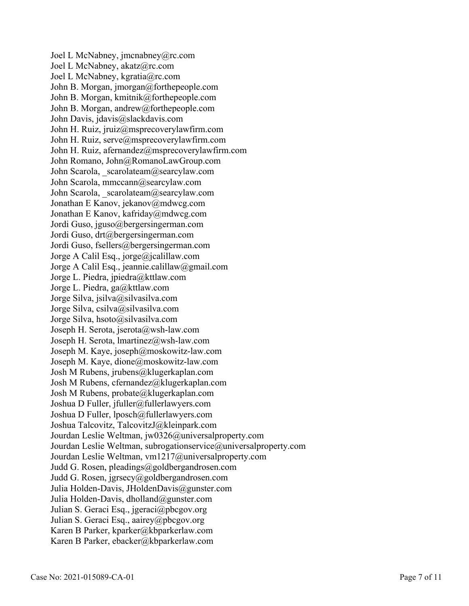Joel L McNabney, jmcnabney@rc.com Joel L McNabney, akatz@rc.com Joel L McNabney, kgratia@rc.com John B. Morgan, jmorgan@forthepeople.com John B. Morgan, kmitnik@forthepeople.com John B. Morgan, andrew@forthepeople.com John Davis, jdavis@slackdavis.com John H. Ruiz, jruiz@msprecoverylawfirm.com John H. Ruiz, serve@msprecoverylawfirm.com John H. Ruiz, afernandez@msprecoverylawfirm.com John Romano, John@RomanoLawGroup.com John Scarola, scarolateam@searcylaw.com John Scarola, mmccann@searcylaw.com John Scarola, scarolateam@searcylaw.com Jonathan E Kanov, jekanov@mdwcg.com Jonathan E Kanov, kafriday@mdwcg.com Jordi Guso, jguso@bergersingerman.com Jordi Guso, drt@bergersingerman.com Jordi Guso, fsellers@bergersingerman.com Jorge A Calil Esq., jorge@jcalillaw.com Jorge A Calil Esq., jeannie.calillaw@gmail.com Jorge L. Piedra, jpiedra@kttlaw.com Jorge L. Piedra, ga@kttlaw.com Jorge Silva, jsilva@silvasilva.com Jorge Silva, csilva@silvasilva.com Jorge Silva, hsoto@silvasilva.com Joseph H. Serota, jserota@wsh-law.com Joseph H. Serota, lmartinez@wsh-law.com Joseph M. Kaye, joseph@moskowitz-law.com Joseph M. Kaye, dione@moskowitz-law.com Josh M Rubens, jrubens@klugerkaplan.com Josh M Rubens, cfernandez@klugerkaplan.com Josh M Rubens, probate@klugerkaplan.com Joshua D Fuller, jfuller@fullerlawyers.com Joshua D Fuller, lposch@fullerlawyers.com Joshua Talcovitz, TalcovitzJ@kleinpark.com Jourdan Leslie Weltman, jw0326@universalproperty.com Jourdan Leslie Weltman, subrogationservice@universalproperty.com Jourdan Leslie Weltman, vm1217@universalproperty.com Judd G. Rosen, pleadings@goldbergandrosen.com Judd G. Rosen, jgrsecy@goldbergandrosen.com Julia Holden-Davis, JHoldenDavis@gunster.com Julia Holden-Davis, dholland@gunster.com Julian S. Geraci Esq., jgeraci@pbcgov.org Julian S. Geraci Esq., aairey@pbcgov.org Karen B Parker, kparker@kbparkerlaw.com Karen B Parker, ebacker@kbparkerlaw.com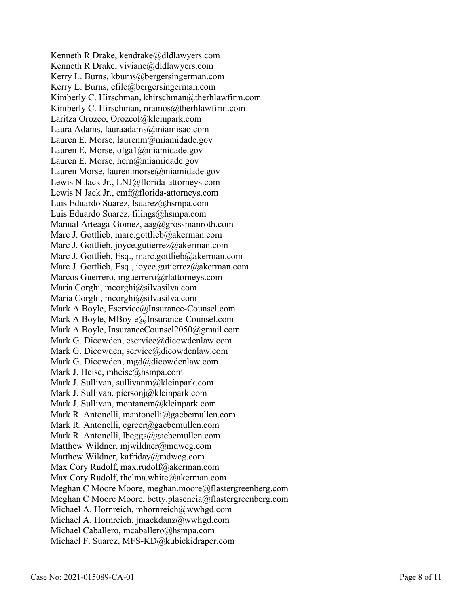Kenneth R Drake, kendrake@dldlawyers.com Kenneth R Drake, viviane@dldlawyers.com Kerry L. Burns, kburns@bergersingerman.com Kerry L. Burns, efile@bergersingerman.com Kimberly C. Hirschman, khirschman@therhlawfirm.com Kimberly C. Hirschman, nramos@therhlawfirm.com Laritza Orozco, Orozcol@kleinpark.com Laura Adams, lauraadams@miamisao.com Lauren E. Morse, laurenm@miamidade.gov Lauren E. Morse, olga1@miamidade.gov Lauren E. Morse, hern@miamidade.gov Lauren Morse, lauren.morse@miamidade.gov Lewis N Jack Jr., LNJ@florida-attorneys.com Lewis N Jack Jr., cmf@florida-attorneys.com Luis Eduardo Suarez, lsuarez@hsmpa.com Luis Eduardo Suarez, filings@hsmpa.com Manual Arteaga-Gomez, aag@grossmanroth.com Marc J. Gottlieb, marc.gottlieb@akerman.com Marc J. Gottlieb, joyce.gutierrez@akerman.com Marc J. Gottlieb, Esq., marc.gottlieb@akerman.com Marc J. Gottlieb, Esq., joyce.gutierrez@akerman.com Marcos Guerrero, mguerrero@rlattorneys.com Maria Corghi, mcorghi@silvasilva.com Maria Corghi, mcorghi@silvasilva.com Mark A Boyle, Eservice@Insurance-Counsel.com Mark A Boyle, MBoyle@Insurance-Counsel.com Mark A Boyle, InsuranceCounsel2050@gmail.com Mark G. Dicowden, eservice@dicowdenlaw.com Mark G. Dicowden, service@dicowdenlaw.com Mark G. Dicowden, mgd@dicowdenlaw.com Mark J. Heise, mheise@hsmpa.com Mark J. Sullivan, sullivanm@kleinpark.com Mark J. Sullivan, piersonj@kleinpark.com Mark J. Sullivan, montanem@kleinpark.com Mark R. Antonelli, mantonelli@gaebemullen.com Mark R. Antonelli, cgreer@gaebemullen.com Mark R. Antonelli, lbeggs@gaebemullen.com Matthew Wildner, mjwildner@mdwcg.com Matthew Wildner, kafriday@mdwcg.com Max Cory Rudolf, max.rudolf@akerman.com Max Cory Rudolf, thelma.white@akerman.com Meghan C Moore Moore, meghan.moore@flastergreenberg.com Meghan C Moore Moore, betty.plasencia@flastergreenberg.com Michael A. Hornreich, mhornreich@wwhgd.com Michael A. Hornreich, jmackdanz@wwhgd.com Michael Caballero, mcaballero@hsmpa.com Michael F. Suarez, MFS-KD@kubickidraper.com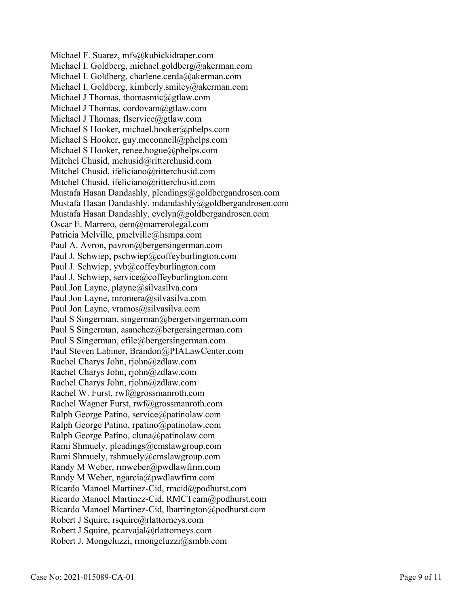Michael F. Suarez, mfs@kubickidraper.com Michael I. Goldberg, michael.goldberg@akerman.com Michael I. Goldberg, charlene.cerda@akerman.com Michael I. Goldberg, kimberly.smiley@akerman.com Michael J Thomas, thomasmic@gtlaw.com Michael J Thomas, cordovam@gtlaw.com Michael J Thomas, flservice@gtlaw.com Michael S Hooker, michael.hooker@phelps.com Michael S Hooker, guy.mcconnell@phelps.com Michael S Hooker, renee.hogue@phelps.com Mitchel Chusid, mchusid@ritterchusid.com Mitchel Chusid, ifeliciano@ritterchusid.com Mitchel Chusid, ifeliciano@ritterchusid.com Mustafa Hasan Dandashly, pleadings@goldbergandrosen.com Mustafa Hasan Dandashly, mdandashly@goldbergandrosen.com Mustafa Hasan Dandashly, evelyn@goldbergandrosen.com Oscar E. Marrero, oem@marrerolegal.com Patricia Melville, pmelville@hsmpa.com Paul A. Avron, pavron@bergersingerman.com Paul J. Schwiep, pschwiep@coffeyburlington.com Paul J. Schwiep, yvb@coffeyburlington.com Paul J. Schwiep, service@coffeyburlington.com Paul Jon Layne, playne@silvasilva.com Paul Jon Layne, mromera@silvasilva.com Paul Jon Layne, vramos@silvasilva.com Paul S Singerman, singerman@bergersingerman.com Paul S Singerman, asanchez@bergersingerman.com Paul S Singerman, efile@bergersingerman.com Paul Steven Labiner, Brandon@PIALawCenter.com Rachel Charys John, rjohn@zdlaw.com Rachel Charys John, rjohn@zdlaw.com Rachel Charys John, rjohn@zdlaw.com Rachel W. Furst, rwf@grossmanroth.com Rachel Wagner Furst, rwf@grossmanroth.com Ralph George Patino, service@patinolaw.com Ralph George Patino, rpatino@patinolaw.com Ralph George Patino, cluna@patinolaw.com Rami Shmuely, pleadings@cmslawgroup.com Rami Shmuely, rshmuely@cmslawgroup.com Randy M Weber, rmweber@pwdlawfirm.com Randy M Weber, ngarcia@pwdlawfirm.com Ricardo Manoel Martinez-Cid, rmcid@podhurst.com Ricardo Manoel Martinez-Cid, RMCTeam@podhurst.com Ricardo Manoel Martinez-Cid, lbarrington@podhurst.com Robert J Squire, rsquire@rlattorneys.com Robert J Squire, pcarvajal@rlattorneys.com Robert J. Mongeluzzi, rmongeluzzi@smbb.com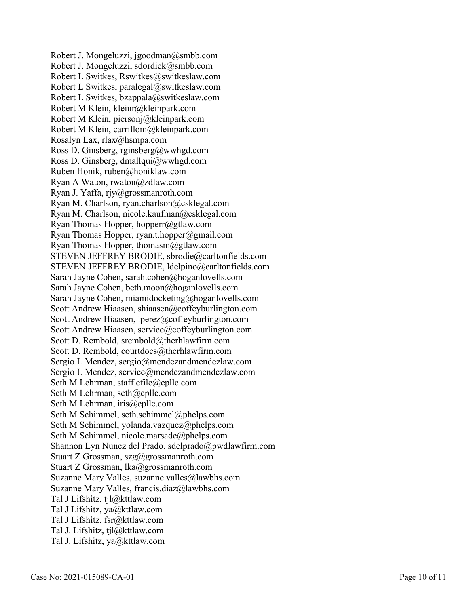Robert J. Mongeluzzi, jgoodman@smbb.com Robert J. Mongeluzzi, sdordick@smbb.com Robert L Switkes, Rswitkes@switkeslaw.com Robert L Switkes, paralegal@switkeslaw.com Robert L Switkes, bzappala@switkeslaw.com Robert M Klein, kleinr@kleinpark.com Robert M Klein, piersonj@kleinpark.com Robert M Klein, carrillom@kleinpark.com Rosalyn Lax, rlax@hsmpa.com Ross D. Ginsberg, rginsberg@wwhgd.com Ross D. Ginsberg, dmallqui@wwhgd.com Ruben Honik, ruben@honiklaw.com Ryan A Waton, rwaton@zdlaw.com Ryan J. Yaffa, rjy@grossmanroth.com Ryan M. Charlson, ryan.charlson@csklegal.com Ryan M. Charlson, nicole.kaufman@csklegal.com Ryan Thomas Hopper, hopperr@gtlaw.com Ryan Thomas Hopper, ryan.t.hopper@gmail.com Ryan Thomas Hopper, thomasm@gtlaw.com STEVEN JEFFREY BRODIE, sbrodie@carltonfields.com STEVEN JEFFREY BRODIE, ldelpino@carltonfields.com Sarah Jayne Cohen, sarah.cohen@hoganlovells.com Sarah Jayne Cohen, beth.moon@hoganlovells.com Sarah Jayne Cohen, miamidocketing@hoganlovells.com Scott Andrew Hiaasen, shiaasen@coffeyburlington.com Scott Andrew Hiaasen, lperez@coffeyburlington.com Scott Andrew Hiaasen, service@coffeyburlington.com Scott D. Rembold, srembold@therhlawfirm.com Scott D. Rembold, courtdocs@therhlawfirm.com Sergio L Mendez, sergio@mendezandmendezlaw.com Sergio L Mendez, service@mendezandmendezlaw.com Seth M Lehrman, staff.efile@epllc.com Seth M Lehrman, seth@epllc.com Seth M Lehrman, iris@epllc.com Seth M Schimmel, seth.schimmel@phelps.com Seth M Schimmel, yolanda.vazquez@phelps.com Seth M Schimmel, nicole.marsade@phelps.com Shannon Lyn Nunez del Prado, sdelprado@pwdlawfirm.com Stuart Z Grossman, szg@grossmanroth.com Stuart Z Grossman, lka@grossmanroth.com Suzanne Mary Valles, suzanne.valles@lawbhs.com Suzanne Mary Valles, francis.diaz@lawbhs.com Tal J Lifshitz, tjl@kttlaw.com Tal J Lifshitz, ya@kttlaw.com Tal J Lifshitz, fsr@kttlaw.com Tal J. Lifshitz, tjl@kttlaw.com Tal J. Lifshitz, ya@kttlaw.com